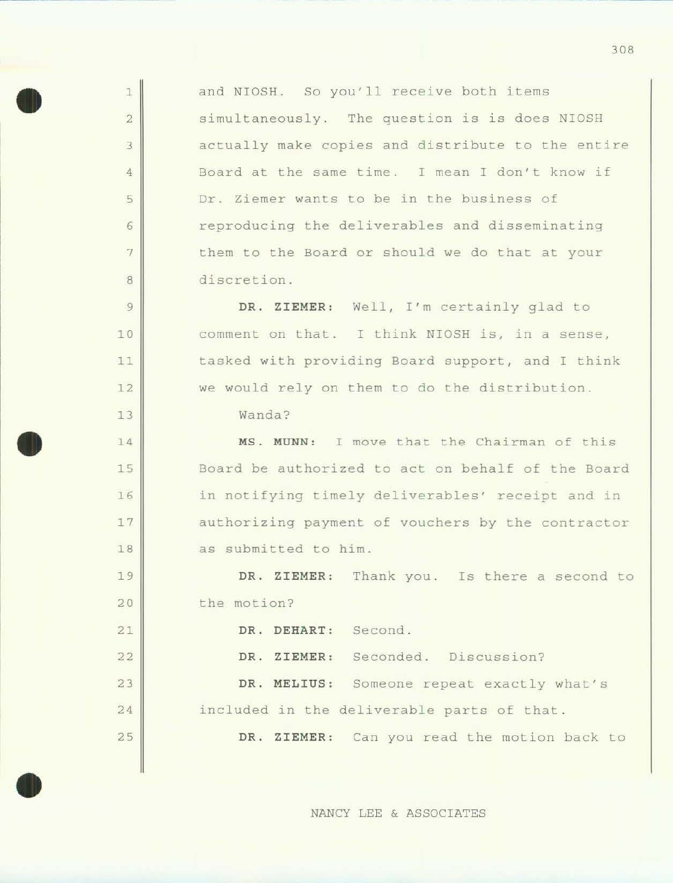and NIOSH. So you'll receive both items simultaneously. The question is is does NIOSH actually make copies and distribute to the entire Board at the same time. I mean I don't know if Dr. Ziemer wants to be in the business of reproducing the deliverables and disseminating them to the Board or should we do that at your discretion.

DR. **ZIEMER:** Well, I'm certainly glad to comment on that. I think NIOSH is, in a sense, tasked with providing Board support, and I think we would rely on them to do the distribution.

Wanda?

•

1

2

3

4

5

6

7

8

9

10

11

12

13

l4

15

16

17

18

19

20

21

22

23

24

25

•

•

**MS . MUNN:** I move that the Chairman of this Board be authorized to act on behalf of the Board *in* notifying timely deliverables' receipt and in authorizing payment of vouchers by the contractor as submitted to him.

DR. ZIEMER: Thank you. Is there a second to the motion?

DR. **DEHART:**  Second .

DR. ZIEMER: Seconded. Discussion?

DR. MELIUS: Someone repeat exactly what's included in the deliverable parts of that.

**DR . ZIEMER:** Can you read the motion back to

NANCY LEE & ASSOCIATES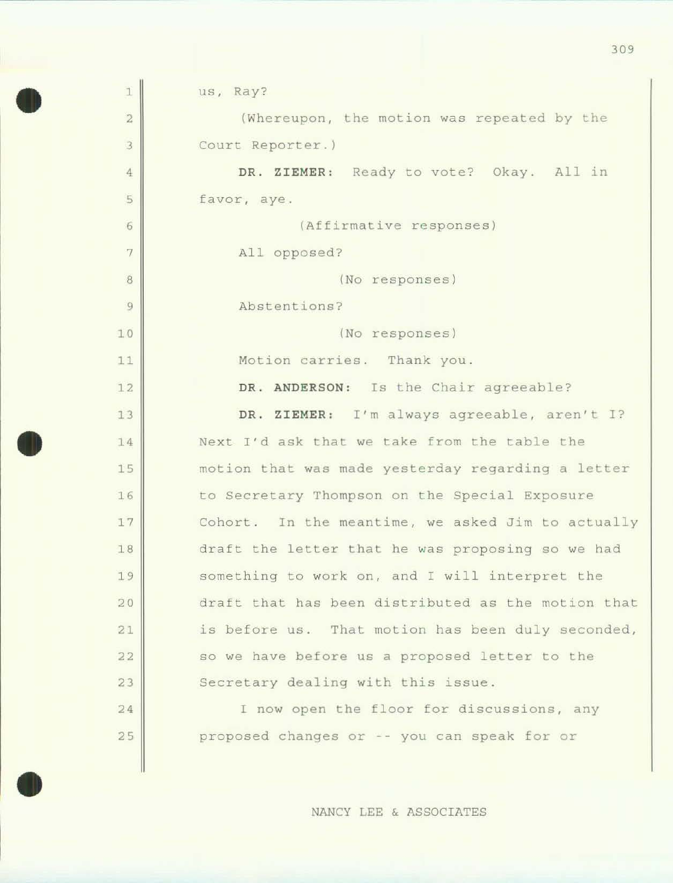| $\mathbf{1}$   | us, Ray?                                           |
|----------------|----------------------------------------------------|
| $\overline{2}$ | (Whereupon, the motion was repeated by the         |
| 3              | Court Reporter.)                                   |
| $\overline{4}$ | DR. ZIEMER: Ready to vote? Okay. All in            |
| 5              | favor, aye.                                        |
| 6              | (Affirmative responses)                            |
| 7              | All opposed?                                       |
| $\,$ 8         | (No responses)                                     |
| $\overline{9}$ | Abstentions?                                       |
| 10             | (No responses)                                     |
| 11             | Motion carries. Thank you.                         |
| 12             | DR. ANDERSON: Is the Chair agreeable?              |
| 13             | DR. ZIEMER: I'm always agreeable, aren't I?        |
| 14             | Next I'd ask that we take from the table the       |
| 15             | motion that was made yesterday regarding a letter  |
| 16             | to Secretary Thompson on the Special Exposure      |
| 17             | Cohort. In the meantime, we asked Jim to actually  |
| 18             | draft the letter that he was proposing so we had   |
| 19             | something to work on, and I will interpret the     |
| 20             | draft that has been distributed as the motion that |
| 21             | is before us. That motion has been duly seconded,  |
| 22             | so we have before us a proposed letter to the      |
| 23             | Secretary dealing with this issue.                 |
| 24             | I now open the floor for discussions, any          |
| 25             | proposed changes or -- you can speak for or        |
|                |                                                    |

•

•

NANCY LEE & ASSOCIATES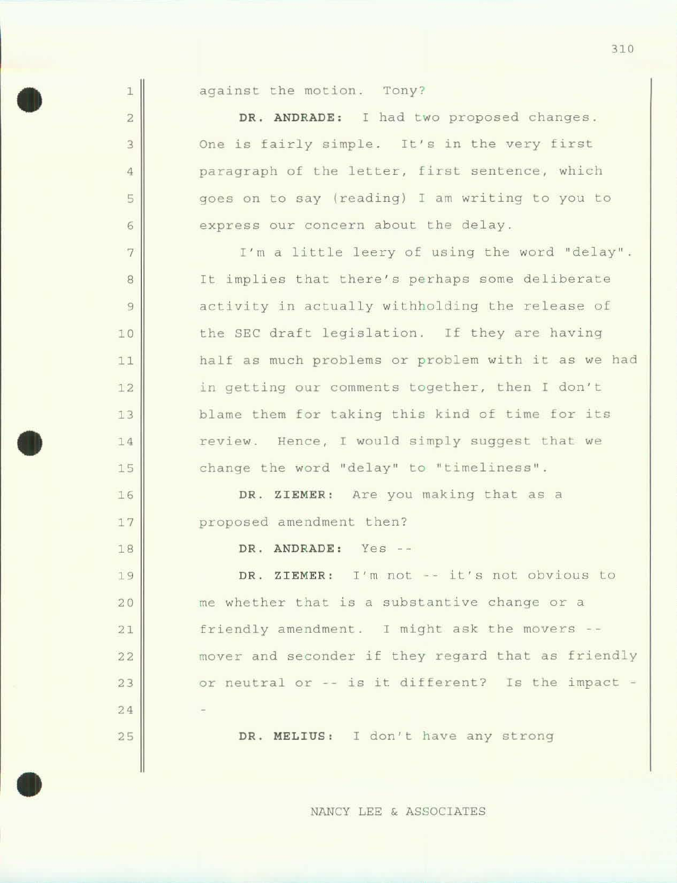| against the motion. |  |  | Tony? |
|---------------------|--|--|-------|
|---------------------|--|--|-------|

1

2

3

4

5

6

7

8

9

10

11

12

13

14

15

16

17

18

19

20

21

22

23

24

25

•

•

DR. ANDRADE: I had two proposed changes. One is fairly simple. It's in the very first paragraph of the letter, first sentence, which goes on to say (reading) I am writing to you to express our concern about the delay.

I'm a little leery of using the word "delay". It implies that there's perhaps some deliberate activity in actually withholding the release of the SEC draft legislation. If they are having half as much problems or problem with it as we had in getting our comments together, then I don't blame them for taking this kind of time for its review. Hence, I would simply suggest that we change the word "delay" to "timeliness".

DR. ZIEMER: Are you making that as a proposed amendment then?

DR. ANDRADE: Yes --

DR. ZIEMER: I'm not -- it's not obvious to me whether that is a substantive change or a friendly amendment. I might ask the movers -mover and seconder if they regard that as friendly or neutral or -- is it different? Is the impact -

DR. MELIUS: I don't have any strong

NANCY LEE & ASSOCIATES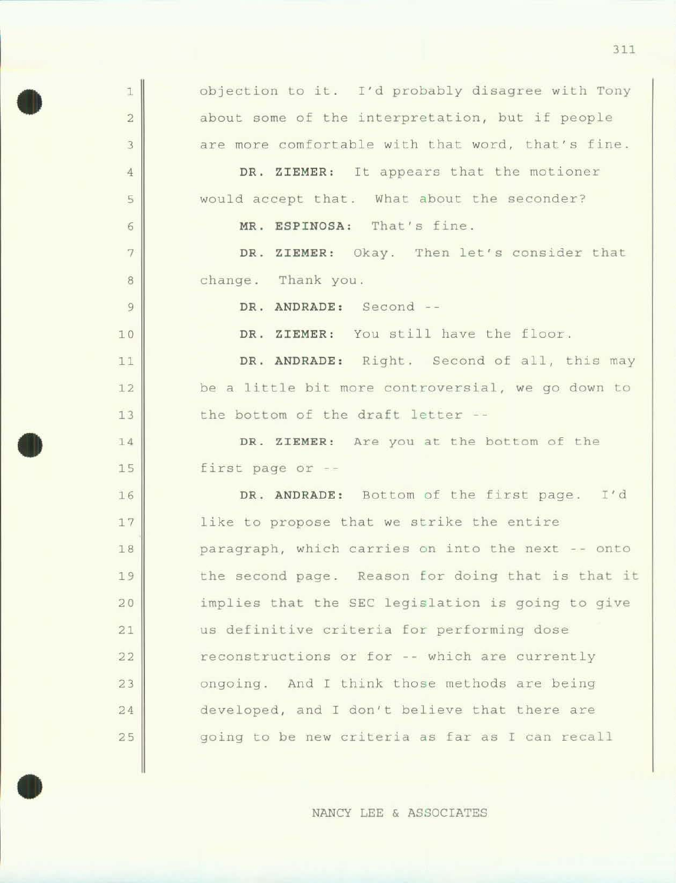| 1              | objection to it. I'd probably disagree with Tony  |
|----------------|---------------------------------------------------|
| $\overline{2}$ | about some of the interpretation, but if people   |
| $\overline{3}$ | are more comfortable with that word, that's fine. |
| $\overline{4}$ | DR. ZIEMER: It appears that the motioner          |
| 5              | would accept that. What about the seconder?       |
| 6              | MR. ESPINOSA: That's fine.                        |
| 7              | DR. ZIEMER: Okay. Then let's consider that        |
| 8              | change. Thank you.                                |
| 9              | DR. ANDRADE: Second --                            |
| 10             | DR. ZIEMER: You still have the floor.             |
| 11             | DR. ANDRADE: Right. Second of all, this may       |
| 12             | be a little bit more controversial, we go down to |
| 13             | the bottom of the draft letter --                 |
| 14             | DR. ZIEMER: Are you at the bottom of the          |
| 15             | first page or --                                  |
| 16             | DR. ANDRADE: Bottom of the first page. I'd        |
| 17             | like to propose that we strike the entire         |
| 18             | paragraph, which carries on into the next -- onto |
| 19             | the second page. Reason for doing that is that it |
| 20             | implies that the SEC legislation is going to give |
| 21             | us definitive criteria for performing dose        |
| 22             | reconstructions or for -- which are currently     |
| 23             | ongoing. And I think those methods are being      |
| 24             | developed, and I don't believe that there are     |
| 25             | going to be new criteria as far as I can recall   |
|                |                                                   |

•

•

NANCY LEE & ASSOCIATES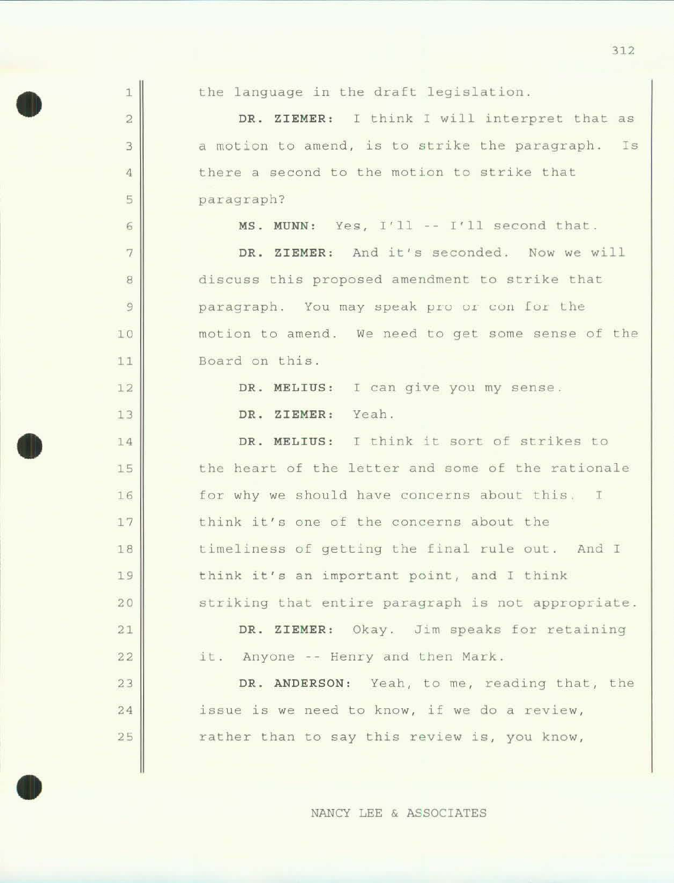| $\mathbf{1}$            | the language in the draft legislation.             |
|-------------------------|----------------------------------------------------|
| $\overline{\mathbf{2}}$ | DR. ZIEMER: I think I will interpret that as       |
| $\mathbf{B}$            | a motion to amend, is to strike the paragraph. Is  |
| $\overline{4}$          | there a second to the motion to strike that        |
| 5                       | paragraph?                                         |
| 6                       | MS. MUNN: Yes, I'll -- I'll second that.           |
| $\overline{7}$          | DR. ZIEMER: And it's seconded. Now we will         |
| $\overline{8}$          | discuss this proposed amendment to strike that     |
| 9                       | paragraph. You may speak pro or con for the        |
| 10                      | motion to amend. We need to get some sense of the  |
| 11                      | Board on this.                                     |
| 12                      | DR. MELIUS: I can give you my sense.               |
| 13                      | DR. ZIEMER: Yeah.                                  |
| 14                      | DR. MELIUS: I think it sort of strikes to          |
| 15                      | the heart of the letter and some of the rationale  |
| 16                      | for why we should have concerns about this. I      |
| 17                      | think it's one of the concerns about the           |
| 18                      | timeliness of getting the final rule out. And I    |
| 19                      | think it's an important point, and I think         |
| 20                      | striking that entire paragraph is not appropriate. |
| 21                      | DR. ZIEMER: Okay. Jim speaks for retaining         |
| 22                      | it. Anyone -- Henry and then Mark.                 |
| 23                      | DR. ANDERSON: Yeah, to me, reading that, the       |
| 24                      | issue is we need to know, if we do a review,       |
| 25                      | rather than to say this review is, you know,       |
|                         |                                                    |

•

•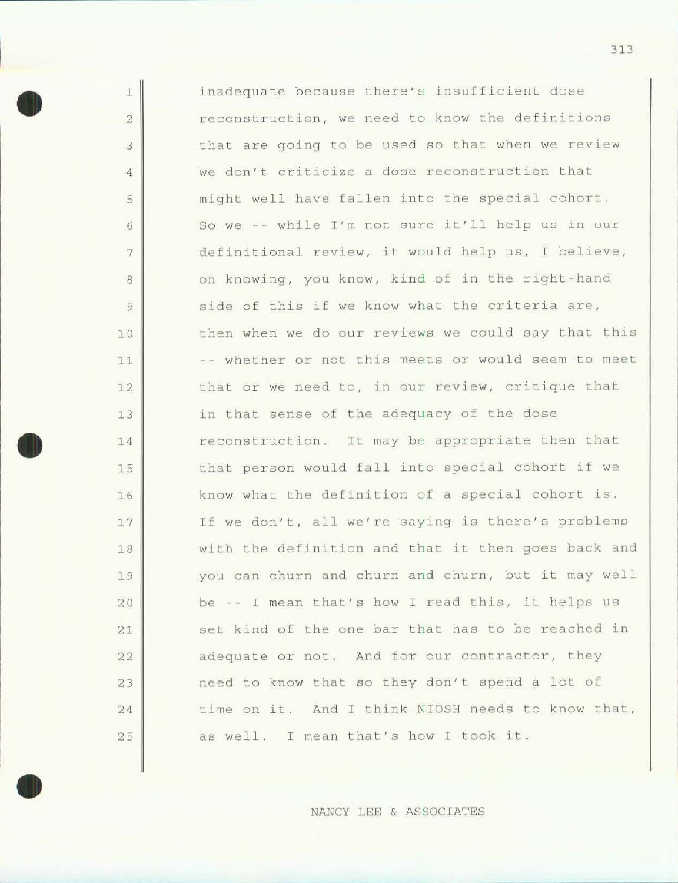1 2 3 4 5 6 7 8 9 10 11 12 13 14 15 16 17 18 19 20 21 22 23 24 25 inadequate because there's insufficient dose reconstruction, we need to know Lhe definitions that are going to be used so Lhat when we review we don't criticize a dose reconstruction that might well have fallen into the special cohort. so we -- while I'm not sure it'll help us in our definitional review, it would help us, I believe, on knowing, you know, kind of in the right-hand side of this if we know what the criteria are, then when we do our reviews we could say that this -- whether or not this meets or would seem to meet that or we need Lo, in our review, critique that in that sense of the adequacy of the dose reconstruction. It may be appropriate then that that person would fall into special cohort if we know what the definition of a special cohort is. If we don't, all we're saying is there's problems with the definition and that it then goes back and you can churn and churn and churn, but it may well be -- I mean that's how I read this, it helps us set kind of the one bar that has to be reached in adequate or not. And for our contractor, they need to know that so they don't spend a lot of time on it. And I think NIOSH needs to know that, as well. I mean that's how I took it.

•

•

•

NANCY LEE & ASSOCIATES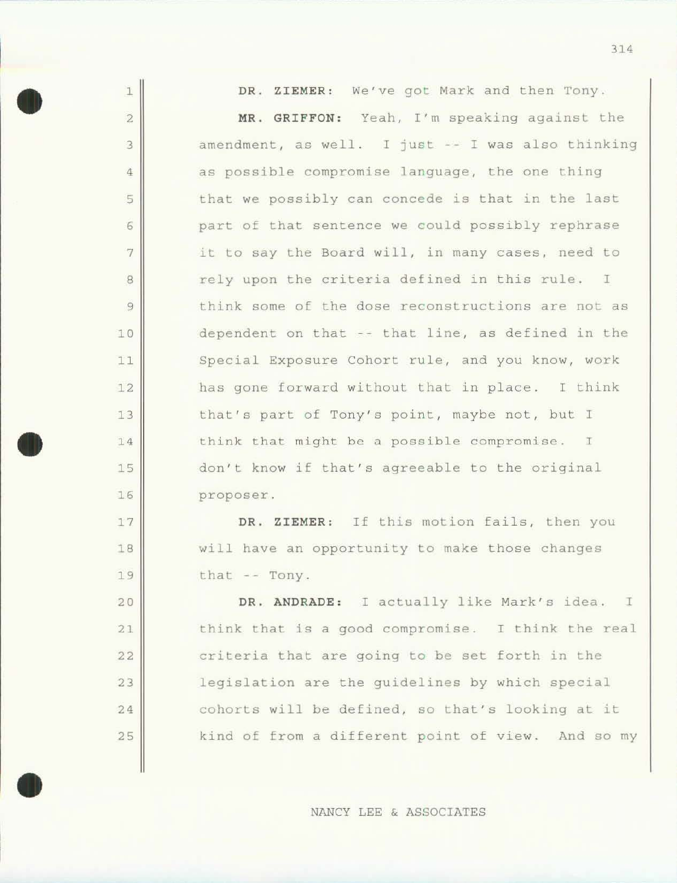| $\mathbf{1}$   | DR. ZIEMER: We've got Mark and then Tony.         |
|----------------|---------------------------------------------------|
| $\sqrt{2}$     | MR. GRIFFON: Yeah, I'm speaking against the       |
| 3              | amendment, as well. I just -- I was also thinking |
| $\overline{4}$ | as possible compromise language, the one thing    |
| 5              | that we possibly can concede is that in the last  |
| 6              | part of that sentence we could possibly rephrase  |
| 7              | it to say the Board will, in many cases, need to  |
| 8              | rely upon the criteria defined in this rule. I    |
| $\overline{9}$ | think some of the dose reconstructions are not as |
| 10             | dependent on that -- that line, as defined in the |
| 11             | Special Exposure Cohort rule, and you know, work  |
| 12             | has gone forward without that in place. I think   |
| 13             | that's part of Tony's point, maybe not, but I     |
| 14             | think that might be a possible compromise. I      |
| 15             | don't know if that's agreeable to the original    |
| 16             | proposer.                                         |
| 17             | DR. ZIEMER: If this motion fails, then you        |
| 18             | will have an opportunity to make those changes    |
| 19             | that -- Tony.                                     |
| 20             | DR. ANDRADE: I actually like Mark's idea. I       |
| 21             | think that is a good compromise. I think the real |
| 22             | criteria that are going to be set forth in the    |
| 23             | legislation are the guidelines by which special   |
| 24             | cohorts will be defined, so that's looking at it  |

•

•

25

NANCY LEE & ASSOCIATES

kind of from a different point of view. And so my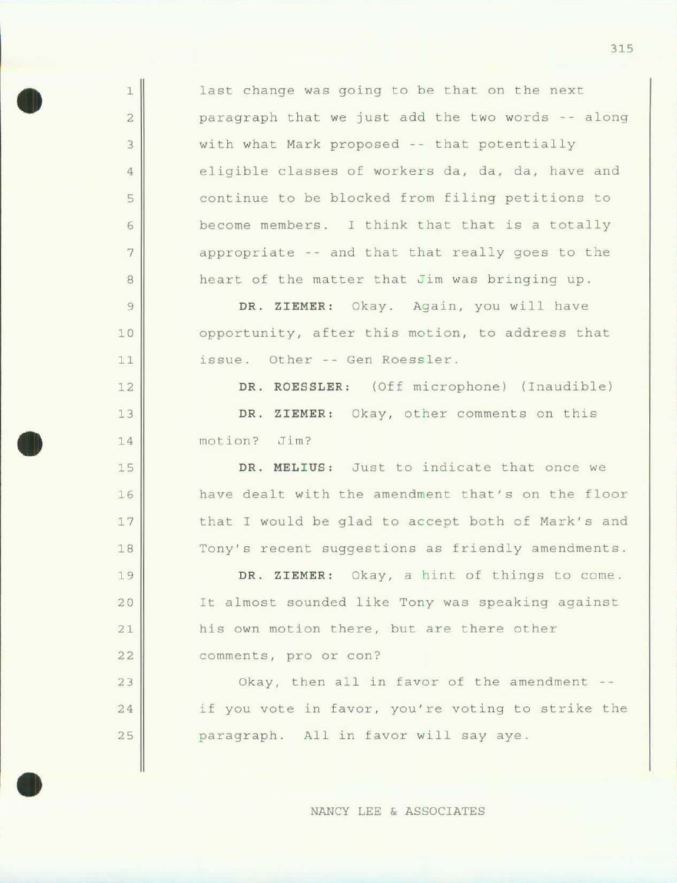last change was going to be that on the next paragraph that we just add the Lwo words -- along with what Mark proposed -- that potentially eligible classes of workers da, da, da, have and continue to be blocked from filing petitions to become members. I think that that is a totally appropriate -- and that that really goes to the heart of the matter that *Jim* was bringing up.

•

1

2

3

4

5

6

7

8

9

10

11

12

13

14

15

16

17

18

19

20

21

22

23

24

25

•

•

DR. ZIEMER: Okay. Again, you will have opportunity, after this motion, to address that issue. Other -- Gen Roessler.

DR. ROESSLER: (Off microphone) (Inaudible) DR. ZIEMER: Okay, other comments on this motion? Jim?

DR. MELIUS: Just to indicate that once we have dealt with the amendment that's on the floor that I would be glad to accept both of Mark's and Tony's recent suggestions as friendly amendments.

DR. ZIEMER: Okay, a hint of things to come. It almost sounded like Tony was speaking against his own motion there, but are there other comments, pro or con?

Okay, then all in favor of the amendment -if you vote in favor, you're voting to strike the paragraph. All in favor will say aye.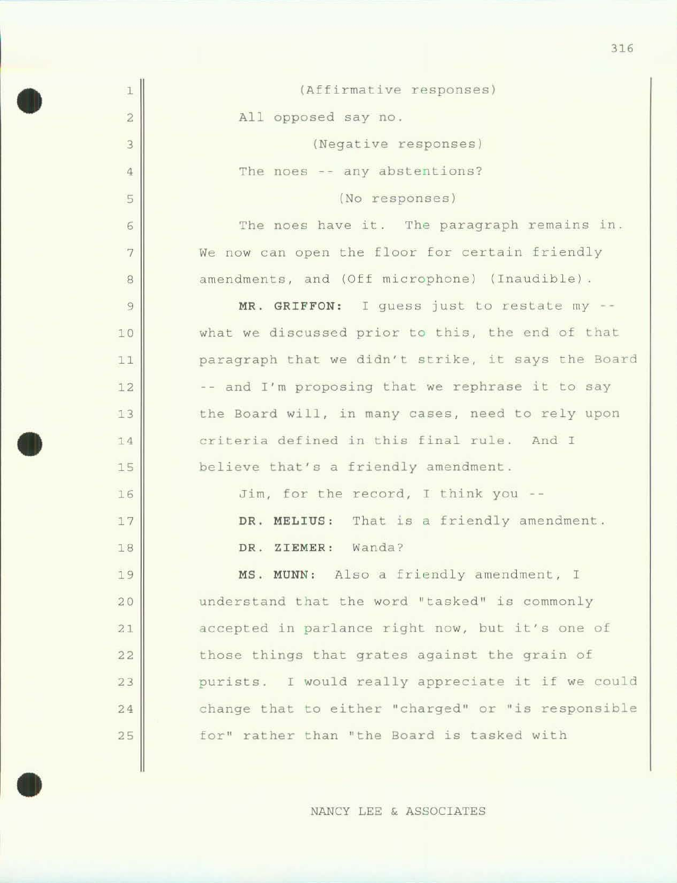| 1              | (Affirmative responses)                            |
|----------------|----------------------------------------------------|
| $\bar{2}$      | All opposed say no.                                |
| 3              | (Negative responses)                               |
| $\overline{4}$ | The noes -- any abstentions?                       |
| 5              | (No responses)                                     |
| $\sqrt{6}$     | The noes have it. The paragraph remains in.        |
| 7              | We now can open the floor for certain friendly     |
| 8              | amendments, and (Off microphone) (Inaudible).      |
| $\mathfrak{g}$ | MR. GRIFFON: I guess just to restate my --         |
| 10             | what we discussed prior to this, the end of that   |
| 11             | paragraph that we didn't strike, it says the Board |
| 12             | -- and I'm proposing that we rephrase it to say    |
| 13             | the Board will, in many cases, need to rely upon   |
| 14             | criteria defined in this final rule. And I         |
| 15             | believe that's a friendly amendment.               |
| 16             | Jim, for the record, I think you --                |
| 17             | DR. MELIUS: That is a friendly amendment.          |
| 18             | DR. ZIEMER: Wanda?                                 |
| 19             | MS. MUNN: Also a friendly amendment, I             |
| 20             | understand that the word "tasked" is commonly      |
| 21             | accepted in parlance right now, but it's one of    |
| 22             | those things that grates against the grain of      |
| 23             | purists. I would really appreciate it if we could  |
| 24             | change that to either "charged" or "is responsible |
| 25             | for" rather than "the Board is tasked with         |
|                |                                                    |

•

•

NANCY LEE & ASSOCIATES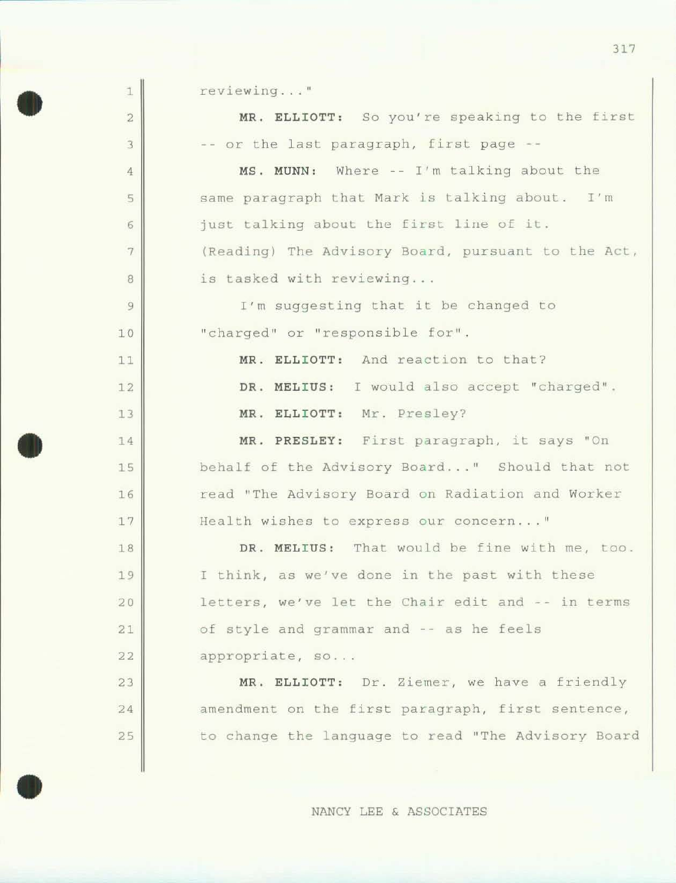1 2 3 4 5 6 7 8 9 10 1 1 12 13 14 15 16 17 18 19 20 21 22 23 24 25 reviewing..." MR. ELLIOTT: So you're speaking to the first -- or the last paragraph, first page --MS. MUNN: Where -- I'm talking about the same paragraph that Mark is talking about. I'm just talking about the first line of it. (Reading) The Advisory Board, pursuant co the Act, is tasked with reviewing... I'm suggesting that it be changed to " charged" or " responsible for". MR. ELLIOTT: And reaction to that? DR. MELIUS: I would also accept "charged". MR. ELLIOTT: Mr. Presley? MR. PRESLEY: First paragraph, it says "On behalf of the Advisory Board..." Should that not read "The Advisory Board on Radiation and Worker Health wishes to express our concern..." DR. MELIUS: That would be fine with me, too. I think, as we've done in the past with these letters, we've let the Chair edit and -- in terms of style and grammar and -- as he feels appropriate, so... MR. ELLIOTT: Dr. Ziemer, we have a friendly amendment on the first paragraph, first sentence, to change the language to read "The Advisory Board

•

•

•